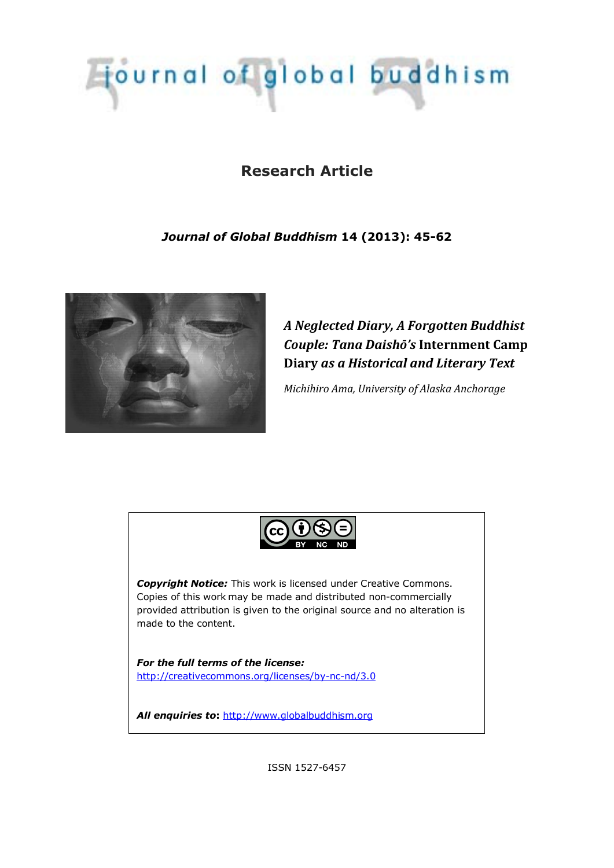# journal of global buddhism

# **Research Article**

## *Journal of Global Buddhism* **14 (2013): 45-62**



*Neglected Diary,Forgotten Buddhist Couple: Tana DaishÛ's* **Internment Camp Diary** *asHistorical and Literary Text* 

*Michihiro Ama, University of Alaska Anchorage*



ISSN 1527-6457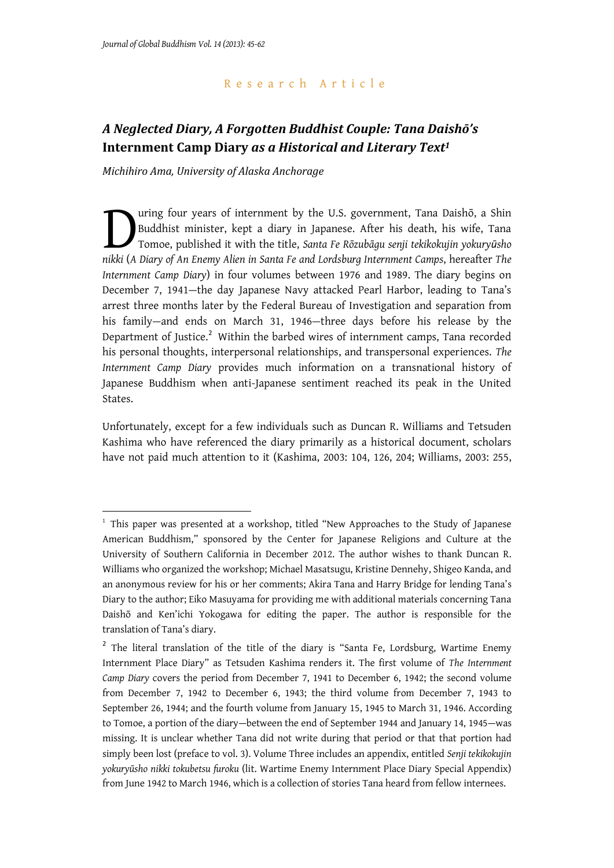-

## Research Article

## *Neglected Diary,Forgotten Buddhist Couple: Tana DaishÛ's* **Internment Camp Diary** *asHistorical and Literary Text<sup>1</sup>*

*Michihiro Ama, University of Alaska Anchorage*

uring four years of internment by the U.S. government, Tana Daishō, a Shin Buddhist minister, kept a diary in Japanese. After his death, his wife, Tana Tomoe, published it with the title, *Santa Fe Rگzubčgu senji tekikokujin yokuryƻsho*  **nikki** (*A Diary of An Enemy Alien in Santa Fe and Lordsburg Internment Camps, hereafter The nikki (<i>A Diary of An Enemy Alien in Santa Fe and Lordsburg Internment Camps, hereafter The Internment Camp Diary*) in four volumes between 1976 and 1989. The diary begins on December 7, 1941—the day Japanese Navy attacked Pearl Harbor, leading to Tana's arrest three months later by the Federal Bureau of Investigation and separation from his family—and ends on March 31, 1946—three days before his release by the Department of Justice.<sup>2</sup> Within the barbed wires of internment camps, Tana recorded his personal thoughts, interpersonal relationships, and transpersonal experiences. *The Internment Camp Diary* provides much information on a transnational history of Japanese Buddhism when anti-Japanese sentiment reached its peak in the United States.

Unfortunately, except for a few individuals such as Duncan R. Williams and Tetsuden Kashima who have referenced the diary primarily as a historical document, scholars have not paid much attention to it (Kashima, 2003: 104, 126, 204; Williams, 2003: 255,

<sup>&</sup>lt;sup>1</sup> This paper was presented at a workshop, titled "New Approaches to the Study of Japanese American Buddhism," sponsored by the Center for Japanese Religions and Culture at the University of Southern California in December 2012. The author wishes to thank Duncan R. Williams who organized the workshop; Michael Masatsugu, Kristine Dennehy, Shigeo Kanda, and an anonymous review for his or her comments; Akira Tana and Harry Bridge for lending Tana's Diary to the author; Eiko Masuyama for providing me with additional materials concerning Tana Daishō and Ken'ichi Yokogawa for editing the paper. The author is responsible for the translation of Tana's diary.

<sup>&</sup>lt;sup>2</sup> The literal translation of the title of the diary is "Santa Fe, Lordsburg, Wartime Enemy Internment Place Diary" as Tetsuden Kashima renders it. The first volume of *The Internment Camp Diary* covers the period from December 7, 1941 to December 6, 1942; the second volume from December 7, 1942 to December 6, 1943; the third volume from December 7, 1943 to September 26, 1944; and the fourth volume from January 15, 1945 to March 31, 1946. According to Tomoe, a portion of the diary—between the end of September 1944 and January 14, 1945—was missing. It is unclear whether Tana did not write during that period or that that portion had simply been lost (preface to vol. 3). Volume Three includes an appendix, entitled *Senji tekikokujin yokuryࡃsho nikki tokubetsu furoku* (lit. Wartime Enemy Internment Place Diary Special Appendix) from June 1942 to March 1946, which is a collection of stories Tana heard from fellow internees.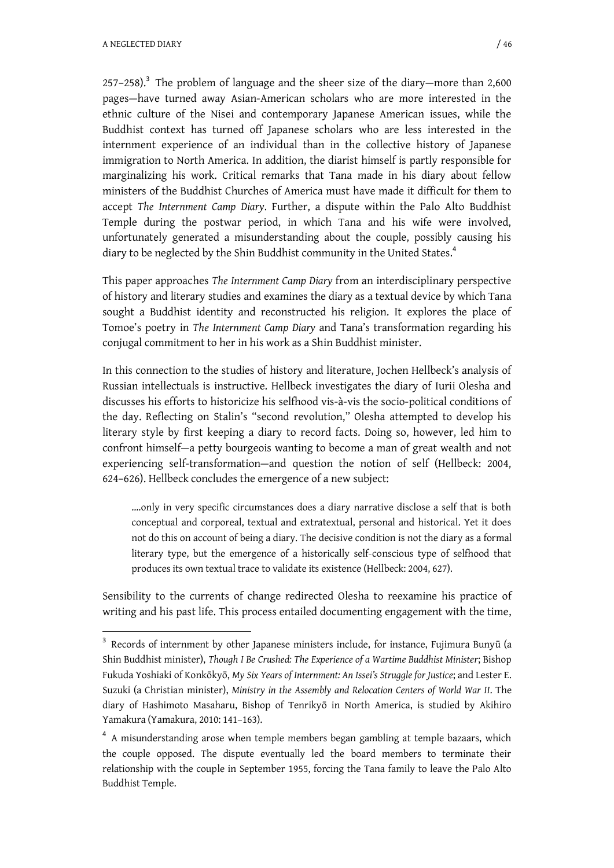A NEGLECTED DIARY 146

-

 $257-258$ ).<sup>3</sup> The problem of language and the sheer size of the diary—more than  $2,600$ pages—have turned away Asian-American scholars who are more interested in the ethnic culture of the Nisei and contemporary Japanese American issues, while the Buddhist context has turned off Japanese scholars who are less interested in the internment experience of an individual than in the collective history of Japanese immigration to North America. In addition, the diarist himself is partly responsible for marginalizing his work. Critical remarks that Tana made in his diary about fellow ministers of the Buddhist Churches of America must have made it difficult for them to accept *The Internment Camp Diary*. Further, a dispute within the Palo Alto Buddhist Temple during the postwar period, in which Tana and his wife were involved, unfortunately generated a misunderstanding about the couple, possibly causing his diary to be neglected by the Shin Buddhist community in the United States.<sup>4</sup>

This paper approaches *The Internment Camp Diary* from an interdisciplinary perspective of history and literary studies and examines the diary as a textual device by which Tana sought a Buddhist identity and reconstructed his religion. It explores the place of Tomoe's poetry in *The Internment Camp Diary* and Tana's transformation regarding his conjugal commitment to her in his work as a Shin Buddhist minister.

In this connection to the studies of history and literature, Jochen Hellbeck's analysis of Russian intellectuals is instructive. Hellbeck investigates the diary of Iurii Olesha and discusses his efforts to historicize his selfhood vis-à-vis the socio-political conditions of the day. Reflecting on Stalin's "second revolution," Olesha attempted to develop his literary style by first keeping a diary to record facts. Doing so, however, led him to confront himself—a petty bourgeois wanting to become a man of great wealth and not experiencing self-transformation—and question the notion of self (Hellbeck: 2004, 624–626). Hellbeck concludes the emergence of a new subject:

….only in very specific circumstances does a diary narrative disclose a self that is both conceptual and corporeal, textual and extratextual, personal and historical. Yet it does not do this on account of being a diary. The decisive condition is not the diary as a formal literary type, but the emergence of a historically self-conscious type of selfhood that produces its own textual trace to validate its existence (Hellbeck: 2004, 627).

Sensibility to the currents of change redirected Olesha to reexamine his practice of writing and his past life. This process entailed documenting engagement with the time,

 $3$  Records of internment by other Japanese ministers include, for instance, Fujimura Bunyū (a Shin Buddhist minister), *Though I Be Crushed: The Experience of a Wartime Buddhist Minister*; Bishop Fukuda Yoshiaki of Konkگkyگ, *My Six Years of Internment: An Issei's Struggle for Justice*; and Lester E. Suzuki (a Christian minister), *Ministry in the Assembly and Relocation Centers of World War II*. The diary of Hashimoto Masaharu, Bishop of Tenrikyگ in North America, is studied by Akihiro Yamakura (Yamakura, 2010: 141–163).

<sup>&</sup>lt;sup>4</sup> A misunderstanding arose when temple members began gambling at temple bazaars, which the couple opposed. The dispute eventually led the board members to terminate their relationship with the couple in September 1955, forcing the Tana family to leave the Palo Alto Buddhist Temple.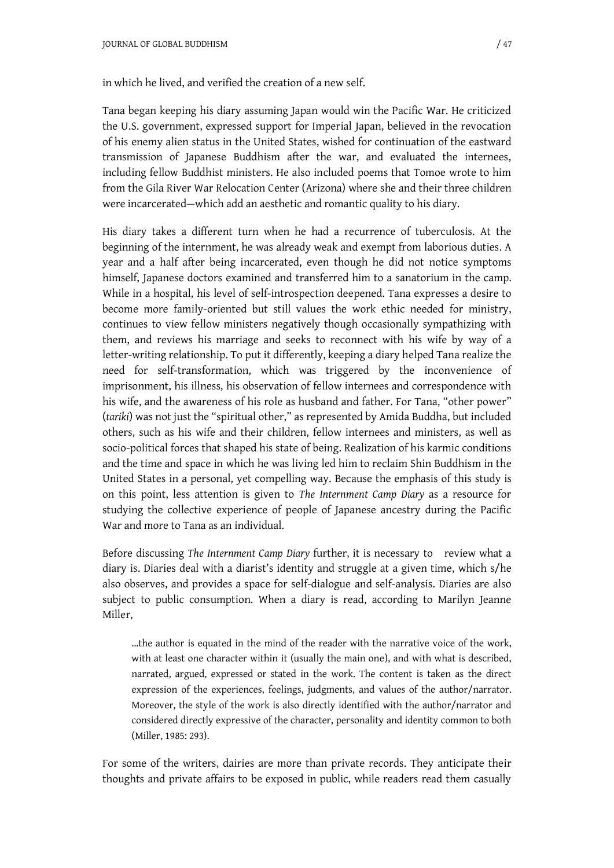in which he lived, and verified the creation of a new self.

Tana began keeping his diary assuming Japan would win the Pacific War. He criticized the U.S. government, expressed support for Imperial Japan, believed in the revocation of his enemy alien status in the United States, wished for continuation of the eastward transmission of Japanese Buddhism after the war, and evaluated the internees, including fellow Buddhist ministers. He also included poems that Tomoe wrote to him from the Gila River War Relocation Center (Arizona) where she and their three children were incarcerated—which add an aesthetic and romantic quality to his diary.

His diary takes a different turn when he had a recurrence of tuberculosis. At the beginning of the internment, he was already weak and exempt from laborious duties. A year and a half after being incarcerated, even though he did not notice symptoms himself, Japanese doctors examined and transferred him to a sanatorium in the camp. While in a hospital, his level of self-introspection deepened. Tana expresses a desire to become more family-oriented but still values the work ethic needed for ministry, continues to view fellow ministers negatively though occasionally sympathizing with them, and reviews his marriage and seeks to reconnect with his wife by way of a letter-writing relationship. To put it differently, keeping a diary helped Tana realize the need for self-transformation, which was triggered by the inconvenience of imprisonment, his illness, his observation of fellow internees and correspondence with his wife, and the awareness of his role as husband and father. For Tana, "other power" (*tariki*) was not just the "spiritual other," as represented by Amida Buddha, but included others, such as his wife and their children, fellow internees and ministers, as well as socio-political forces that shaped his state of being. Realization of his karmic conditions and the time and space in which he was living led him to reclaim Shin Buddhism in the United States in a personal, yet compelling way. Because the emphasis of this study is on this point, less attention is given to *The Internment Camp Diary* as a resource for studying the collective experience of people of Japanese ancestry during the Pacific War and more to Tana as an individual.

Before discussing *The Internment Camp Diary* further, it is necessary to review what a diary is. Diaries deal with a diarist's identity and struggle at a given time, which s/he also observes, and provides a space for self-dialogue and self-analysis. Diaries are also subject to public consumption. When a diary is read, according to Marilyn Jeanne Miller,

…the author is equated in the mind of the reader with the narrative voice of the work, with at least one character within it (usually the main one), and with what is described, narrated, argued, expressed or stated in the work. The content is taken as the direct expression of the experiences, feelings, judgments, and values of the author/narrator. Moreover, the style of the work is also directly identified with the author/narrator and considered directly expressive of the character, personality and identity common to both (Miller, 1985: 293).

For some of the writers, dairies are more than private records. They anticipate their thoughts and private affairs to be exposed in public, while readers read them casually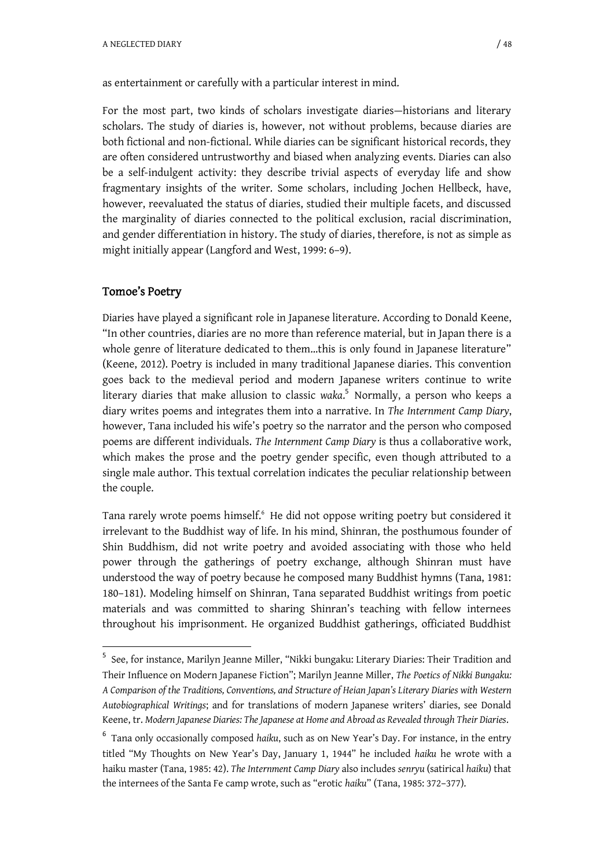as entertainment or carefully with a particular interest in mind.

For the most part, two kinds of scholars investigate diaries—historians and literary scholars. The study of diaries is, however, not without problems, because diaries are both fictional and non-fictional. While diaries can be significant historical records, they are often considered untrustworthy and biased when analyzing events. Diaries can also be a self-indulgent activity: they describe trivial aspects of everyday life and show fragmentary insights of the writer. Some scholars, including Jochen Hellbeck, have, however, reevaluated the status of diaries, studied their multiple facets, and discussed the marginality of diaries connected to the political exclusion, racial discrimination, and gender differentiation in history. The study of diaries, therefore, is not as simple as might initially appear (Langford and West, 1999: 6–9).

## Tomoe's Poetry

-

Diaries have played a significant role in Japanese literature. According to Donald Keene, "In other countries, diaries are no more than reference material, but in Japan there is a whole genre of literature dedicated to them...this is only found in Japanese literature" (Keene, 2012). Poetry is included in many traditional Japanese diaries. This convention goes back to the medieval period and modern Japanese writers continue to write literary diaries that make allusion to classic *waka*. 5 Normally, a person who keeps a diary writes poems and integrates them into a narrative. In *The Internment Camp Diary*, however, Tana included his wife's poetry so the narrator and the person who composed poems are different individuals. *The Internment Camp Diary* is thus a collaborative work, which makes the prose and the poetry gender specific, even though attributed to a single male author. This textual correlation indicates the peculiar relationship between the couple.

Tana rarely wrote poems himself.<sup>6</sup> He did not oppose writing poetry but considered it irrelevant to the Buddhist way of life. In his mind, Shinran, the posthumous founder of Shin Buddhism, did not write poetry and avoided associating with those who held power through the gatherings of poetry exchange, although Shinran must have understood the way of poetry because he composed many Buddhist hymns (Tana, 1981: 180–181). Modeling himself on Shinran, Tana separated Buddhist writings from poetic materials and was committed to sharing Shinran's teaching with fellow internees throughout his imprisonment. He organized Buddhist gatherings, officiated Buddhist

<sup>&</sup>lt;sup>5</sup> See, for instance, Marilyn Jeanne Miller, "Nikki bungaku: Literary Diaries: Their Tradition and Their Influence on Modern Japanese Fiction"; Marilyn Jeanne Miller, *The Poetics of Nikki Bungaku: A Comparison of the Traditions, Conventions, and Structure of Heian Japan's Literary Diaries with Western Autobiographical Writings*; and for translations of modern Japanese writers' diaries, see Donald Keene, tr. *Modern Japanese Diaries: The Japanese at Home and Abroad as Revealed through Their Diaries*.

<sup>6</sup> Tana only occasionally composed *haiku*, such as on New Year's Day. For instance, in the entry titled "My Thoughts on New Year's Day, January 1, 1944" he included *haiku* he wrote with a haiku master (Tana, 1985: 42). *The Internment Camp Diary* also includes *senryu* (satirical *haiku*) that the internees of the Santa Fe camp wrote, such as "erotic *haiku*" (Tana, 1985: 372–377).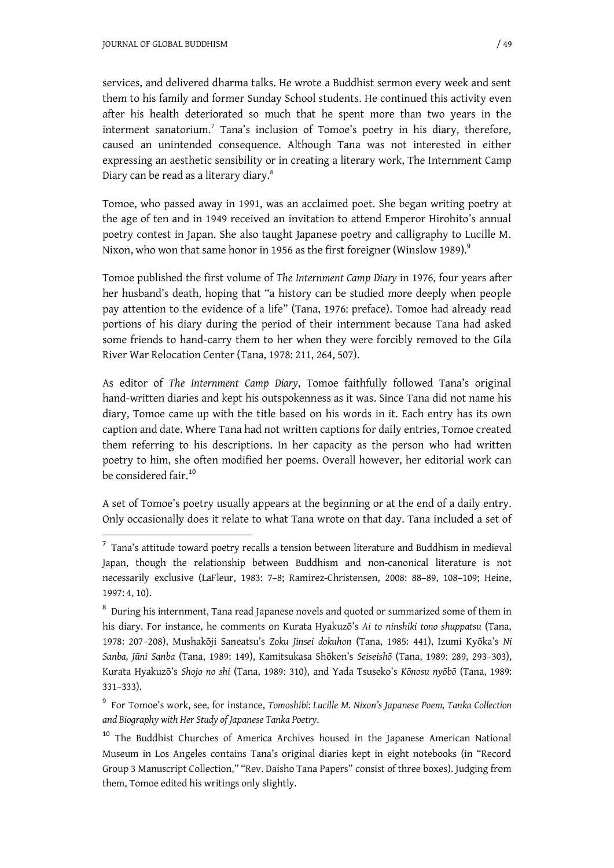1

services, and delivered dharma talks. He wrote a Buddhist sermon every week and sent them to his family and former Sunday School students. He continued this activity even after his health deteriorated so much that he spent more than two years in the interment sanatorium.<sup>7</sup> Tana's inclusion of Tomoe's poetry in his diary, therefore, caused an unintended consequence. Although Tana was not interested in either expressing an aesthetic sensibility or in creating a literary work, The Internment Camp Diary can be read as a literary diary.<sup>8</sup>

Tomoe, who passed away in 1991, was an acclaimed poet. She began writing poetry at the age of ten and in 1949 received an invitation to attend Emperor Hirohito's annual poetry contest in Japan. She also taught Japanese poetry and calligraphy to Lucille M. Nixon, who won that same honor in 1956 as the first foreigner (Winslow 1989). $^9$ 

Tomoe published the first volume of *The Internment Camp Diary* in 1976, four years after her husband's death, hoping that "a history can be studied more deeply when people pay attention to the evidence of a life" (Tana, 1976: preface). Tomoe had already read portions of his diary during the period of their internment because Tana had asked some friends to hand-carry them to her when they were forcibly removed to the Gila River War Relocation Center (Tana, 1978: 211, 264, 507).

As editor of *The Internment Camp Diary*, Tomoe faithfully followed Tana's original hand-written diaries and kept his outspokenness as it was. Since Tana did not name his diary, Tomoe came up with the title based on his words in it. Each entry has its own caption and date. Where Tana had not written captions for daily entries, Tomoe created them referring to his descriptions. In her capacity as the person who had written poetry to him, she often modified her poems. Overall however, her editorial work can be considered fair.<sup>10</sup>

A set of Tomoe's poetry usually appears at the beginning or at the end of a daily entry. Only occasionally does it relate to what Tana wrote on that day. Tana included a set of

 $^7$  Tana's attitude toward poetry recalls a tension between literature and Buddhism in medieval Japan, though the relationship between Buddhism and non-canonical literature is not necessarily exclusive (LaFleur, 1983: 7–8; Ramirez-Christensen, 2008: 88–89, 108–109; Heine, 1997: 4, 10).

<sup>&</sup>lt;sup>8</sup> During his internment, Tana read Japanese novels and quoted or summarized some of them in his diary. For instance, he comments on Kurata Hyakuzگ's *Ai to ninshiki tono shuppatsu* (Tana, 1978: 207–208), Mushakگji Saneatsu's *Zoku Jinsei dokuhon* (Tana, 1985: 441), Izumi Kyگka's *Ni Sanba, Jࡃni Sanba* (Tana, 1989: 149), Kamitsukasa Shگken's *Seiseishگ*) Tana, 1989: 289, 293–303), Kurata Hyakuzō's *Shojo no shi* (Tana, 1989: 310), and Yada Tsuseko's *Kōnosu nyōbō* (Tana, 1989: 331–333).

<sup>9</sup> For Tomoe's work, see, for instance, *Tomoshibi: Lucille M. Nixon's Japanese Poem, Tanka Collection and Biography with Her Study of Japanese Tanka Poetry*.

<sup>&</sup>lt;sup>10</sup> The Buddhist Churches of America Archives housed in the Japanese American National Museum in Los Angeles contains Tana's original diaries kept in eight notebooks (in "Record Group 3 Manuscript Collection," "Rev. Daisho Tana Papers" consist of three boxes). Judging from them, Tomoe edited his writings only slightly.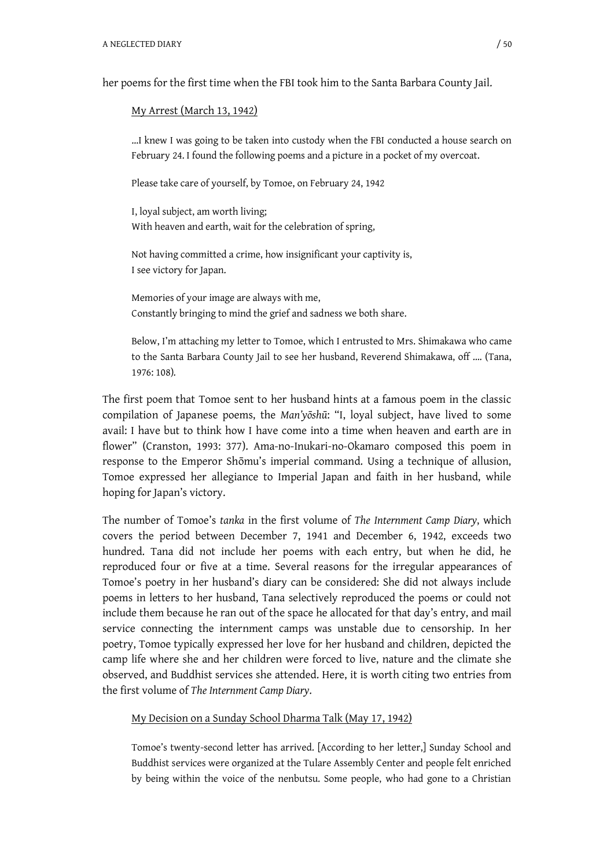her poems for the first time when the FBI took him to the Santa Barbara County Jail.

#### My Arrest (March 13, 1942)

…I knew I was going to be taken into custody when the FBI conducted a house search on February 24. I found the following poems and a picture in a pocket of my overcoat.

Please take care of yourself, by Tomoe, on February 24, 1942

I, loyal subject, am worth living; With heaven and earth, wait for the celebration of spring,

Not having committed a crime, how insignificant your captivity is, I see victory for Japan.

Memories of your image are always with me, Constantly bringing to mind the grief and sadness we both share.

Below, I'm attaching my letter to Tomoe, which I entrusted to Mrs. Shimakawa who came to the Santa Barbara County Jail to see her husband, Reverend Shimakawa, off …. (Tana, 1976: 108).

The first poem that Tomoe sent to her husband hints at a famous poem in the classic compilation of Japanese poems, the *Man'y*<sub> $0$ sh</sub><sup>T</sup>: "I, loyal subject, have lived to some avail: I have but to think how I have come into a time when heaven and earth are in flower" (Cranston, 1993: 377). Ama-no-Inukari-no-Okamaro composed this poem in response to the Emperor Shōmu's imperial command. Using a technique of allusion, Tomoe expressed her allegiance to Imperial Japan and faith in her husband, while hoping for Japan's victory.

The number of Tomoe's *tanka* in the first volume of *The Internment Camp Diary*, which covers the period between December 7, 1941 and December 6, 1942, exceeds two hundred. Tana did not include her poems with each entry, but when he did, he reproduced four or five at a time. Several reasons for the irregular appearances of Tomoe's poetry in her husband's diary can be considered: She did not always include poems in letters to her husband, Tana selectively reproduced the poems or could not include them because he ran out of the space he allocated for that day's entry, and mail service connecting the internment camps was unstable due to censorship. In her poetry, Tomoe typically expressed her love for her husband and children, depicted the camp life where she and her children were forced to live, nature and the climate she observed, and Buddhist services she attended. Here, it is worth citing two entries from the first volume of *The Internment Camp Diary*.

## My Decision on a Sunday School Dharma Talk (May 17, 1942)

Tomoe's twenty-second letter has arrived. [According to her letter,] Sunday School and Buddhist services were organized at the Tulare Assembly Center and people felt enriched by being within the voice of the nenbutsu. Some people, who had gone to a Christian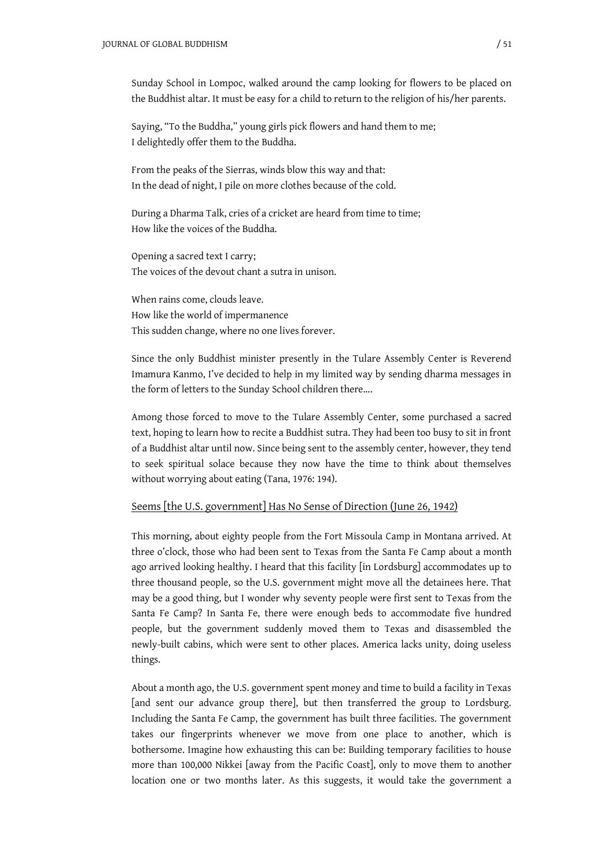Sunday School in Lompoc, walked around the camp looking for flowers to be placed on the Buddhist altar. It must be easy for a child to return to the religion of his/her parents.

Saying, "To the Buddha," young girls pick flowers and hand them to me; I delightedly offer them to the Buddha.

From the peaks of the Sierras, winds blow this way and that: In the dead of night, I pile on more clothes because of the cold.

During a Dharma Talk, cries of a cricket are heard from time to time; How like the voices of the Buddha.

Opening a sacred text I carry; The voices of the devout chant a sutra in unison.

When rains come, clouds leave. How like the world of impermanence This sudden change, where no one lives forever.

Since the only Buddhist minister presently in the Tulare Assembly Center is Reverend Imamura Kanmo, I've decided to help in my limited way by sending dharma messages in the form of letters to the Sunday School children there….

Among those forced to move to the Tulare Assembly Center, some purchased a sacred text, hoping to learn how to recite a Buddhist sutra. They had been too busy to sit in front of a Buddhist altar until now. Since being sent to the assembly center, however, they tend to seek spiritual solace because they now have the time to think about themselves without worrying about eating (Tana, 1976: 194).

#### Seems [the U.S. government] Has No Sense of Direction (June 26, 1942)

This morning, about eighty people from the Fort Missoula Camp in Montana arrived. At three o'clock, those who had been sent to Texas from the Santa Fe Camp about a month ago arrived looking healthy. I heard that this facility [in Lordsburg] accommodates up to three thousand people, so the U.S. government might move all the detainees here. That may be a good thing, but I wonder why seventy people were first sent to Texas from the Santa Fe Camp? In Santa Fe, there were enough beds to accommodate five hundred people, but the government suddenly moved them to Texas and disassembled the newly-built cabins, which were sent to other places. America lacks unity, doing useless things.

About a month ago, the U.S. government spent money and time to build a facility in Texas [and sent our advance group there], but then transferred the group to Lordsburg. Including the Santa Fe Camp, the government has built three facilities. The government takes our fingerprints whenever we move from one place to another, which is bothersome. Imagine how exhausting this can be: Building temporary facilities to house more than 100,000 Nikkei [away from the Pacific Coast], only to move them to another location one or two months later. As this suggests, it would take the government a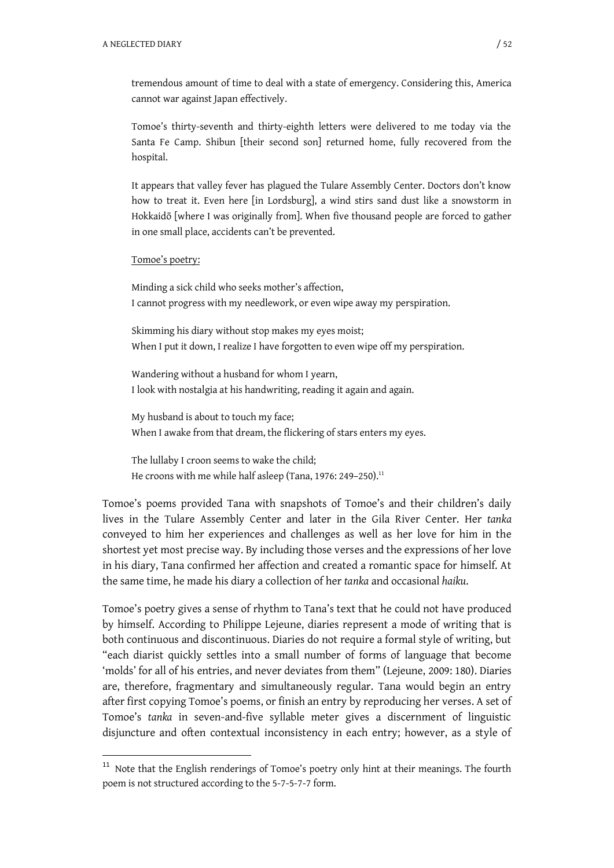tremendous amount of time to deal with a state of emergency. Considering this, America cannot war against Japan effectively.

Tomoe's thirty-seventh and thirty-eighth letters were delivered to me today via the Santa Fe Camp. Shibun [their second son] returned home, fully recovered from the hospital.

It appears that valley fever has plagued the Tulare Assembly Center. Doctors don't know how to treat it. Even here [in Lordsburg], a wind stirs sand dust like a snowstorm in Hokkaidō [where I was originally from]. When five thousand people are forced to gather in one small place, accidents can't be prevented.

#### Tomoe's poetry:

1

Minding a sick child who seeks mother's affection, I cannot progress with my needlework, or even wipe away my perspiration.

Skimming his diary without stop makes my eyes moist; When I put it down, I realize I have forgotten to even wipe off my perspiration.

Wandering without a husband for whom I yearn, I look with nostalgia at his handwriting, reading it again and again.

My husband is about to touch my face; When I awake from that dream, the flickering of stars enters my eyes.

The lullaby I croon seems to wake the child; He croons with me while half asleep (Tana, 1976: 249-250).<sup>11</sup>

Tomoe's poems provided Tana with snapshots of Tomoe's and their children's daily lives in the Tulare Assembly Center and later in the Gila River Center. Her *tanka* conveyed to him her experiences and challenges as well as her love for him in the shortest yet most precise way. By including those verses and the expressions of her love in his diary, Tana confirmed her affection and created a romantic space for himself. At the same time, he made his diary a collection of her *tanka* and occasional *haiku*.

Tomoe's poetry gives a sense of rhythm to Tana's text that he could not have produced by himself. According to Philippe Lejeune, diaries represent a mode of writing that is both continuous and discontinuous. Diaries do not require a formal style of writing, but "each diarist quickly settles into a small number of forms of language that become 'molds' for all of his entries, and never deviates from them" (Lejeune, 2009: 180). Diaries are, therefore, fragmentary and simultaneously regular. Tana would begin an entry after first copying Tomoe's poems, or finish an entry by reproducing her verses. A set of Tomoe's *tanka* in seven-and-five syllable meter gives a discernment of linguistic disjuncture and often contextual inconsistency in each entry; however, as a style of

<sup>&</sup>lt;sup>11</sup> Note that the English renderings of Tomoe's poetry only hint at their meanings. The fourth poem is not structured according to the 5-7-5-7-7 form.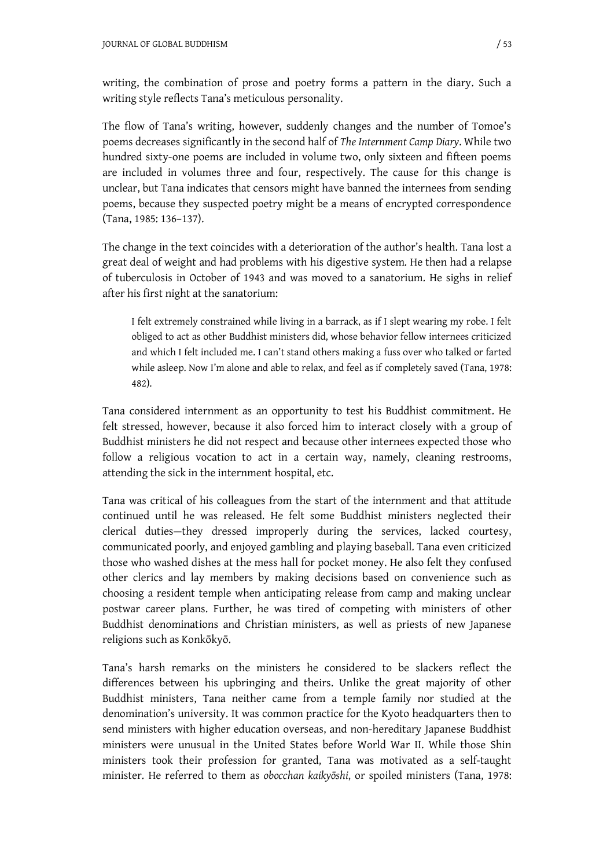writing, the combination of prose and poetry forms a pattern in the diary. Such a writing style reflects Tana's meticulous personality.

The flow of Tana's writing, however, suddenly changes and the number of Tomoe's poems decreases significantly in the second half of *The Internment Camp Diary*. While two hundred sixty-one poems are included in volume two, only sixteen and fifteen poems are included in volumes three and four, respectively. The cause for this change is unclear, but Tana indicates that censors might have banned the internees from sending poems, because they suspected poetry might be a means of encrypted correspondence (Tana, 1985: 136–137).

The change in the text coincides with a deterioration of the author's health. Tana lost a great deal of weight and had problems with his digestive system. He then had a relapse of tuberculosis in October of 1943 and was moved to a sanatorium. He sighs in relief after his first night at the sanatorium:

I felt extremely constrained while living in a barrack, as if I slept wearing my robe. I felt obliged to act as other Buddhist ministers did, whose behavior fellow internees criticized and which I felt included me. I can't stand others making a fuss over who talked or farted while asleep. Now I'm alone and able to relax, and feel as if completely saved (Tana, 1978: 482).

Tana considered internment as an opportunity to test his Buddhist commitment. He felt stressed, however, because it also forced him to interact closely with a group of Buddhist ministers he did not respect and because other internees expected those who follow a religious vocation to act in a certain way, namely, cleaning restrooms, attending the sick in the internment hospital, etc.

Tana was critical of his colleagues from the start of the internment and that attitude continued until he was released. He felt some Buddhist ministers neglected their clerical duties—they dressed improperly during the services, lacked courtesy, communicated poorly, and enjoyed gambling and playing baseball. Tana even criticized those who washed dishes at the mess hall for pocket money. He also felt they confused other clerics and lay members by making decisions based on convenience such as choosing a resident temple when anticipating release from camp and making unclear postwar career plans. Further, he was tired of competing with ministers of other Buddhist denominations and Christian ministers, as well as priests of new Japanese religions such as Konkōkyō.

Tana's harsh remarks on the ministers he considered to be slackers reflect the differences between his upbringing and theirs. Unlike the great majority of other Buddhist ministers, Tana neither came from a temple family nor studied at the denomination's university. It was common practice for the Kyoto headquarters then to send ministers with higher education overseas, and non-hereditary Japanese Buddhist ministers were unusual in the United States before World War II. While those Shin ministers took their profession for granted, Tana was motivated as a self-taught minister. He referred to them as *obocchan kaikyگshi*, or spoiled ministers (Tana, 1978: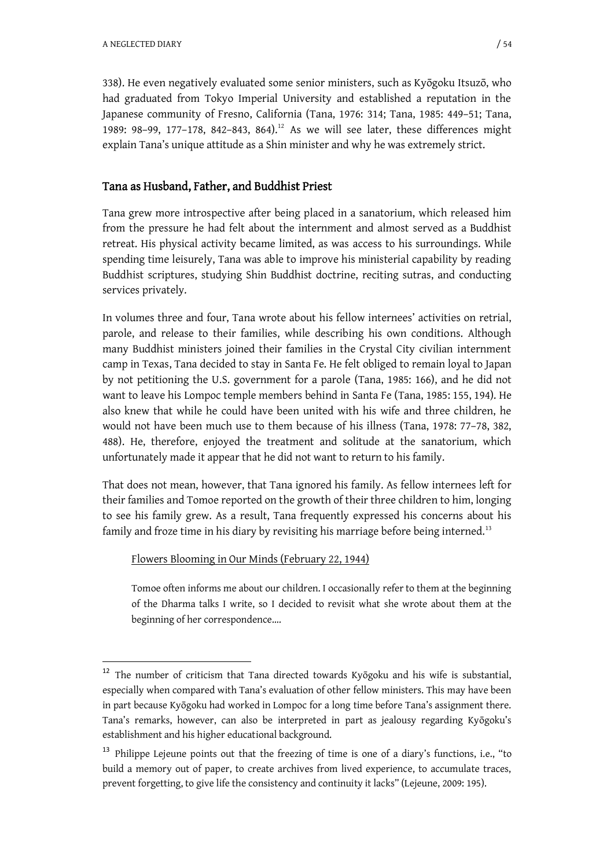-

338). He even negatively evaluated some senior ministers, such as Kyگgoku Itsuzگ, who had graduated from Tokyo Imperial University and established a reputation in the Japanese community of Fresno, California (Tana, 1976: 314; Tana, 1985: 449–51; Tana, 1989: 98-99, 177-178, 842-843, 864).<sup>12</sup> As we will see later, these differences might explain Tana's unique attitude as a Shin minister and why he was extremely strict.

## Tana as Husband, Father, and Buddhist Priest

Tana grew more introspective after being placed in a sanatorium, which released him from the pressure he had felt about the internment and almost served as a Buddhist retreat. His physical activity became limited, as was access to his surroundings. While spending time leisurely, Tana was able to improve his ministerial capability by reading Buddhist scriptures, studying Shin Buddhist doctrine, reciting sutras, and conducting services privately.

In volumes three and four, Tana wrote about his fellow internees' activities on retrial, parole, and release to their families, while describing his own conditions. Although many Buddhist ministers joined their families in the Crystal City civilian internment camp in Texas, Tana decided to stay in Santa Fe. He felt obliged to remain loyal to Japan by not petitioning the U.S. government for a parole (Tana, 1985: 166), and he did not want to leave his Lompoc temple members behind in Santa Fe (Tana, 1985: 155, 194). He also knew that while he could have been united with his wife and three children, he would not have been much use to them because of his illness (Tana, 1978: 77–78, 382, 488). He, therefore, enjoyed the treatment and solitude at the sanatorium, which unfortunately made it appear that he did not want to return to his family.

That does not mean, however, that Tana ignored his family. As fellow internees left for their families and Tomoe reported on the growth of their three children to him, longing to see his family grew. As a result, Tana frequently expressed his concerns about his family and froze time in his diary by revisiting his marriage before being interned.<sup>13</sup>

## Flowers Blooming in Our Minds (February 22, 1944)

Tomoe often informs me about our children. I occasionally refer to them at the beginning of the Dharma talks I write, so I decided to revisit what she wrote about them at the beginning of her correspondence….

<sup>&</sup>lt;sup>12</sup> The number of criticism that Tana directed towards Kyōgoku and his wife is substantial, especially when compared with Tana's evaluation of other fellow ministers. This may have been in part because Kyگgoku had worked in Lompoc for a long time before Tana's assignment there. Tana's remarks, however, can also be interpreted in part as jealousy regarding Kyōgoku's establishment and his higher educational background.

 $13$  Philippe Lejeune points out that the freezing of time is one of a diary's functions, i.e., "to build a memory out of paper, to create archives from lived experience, to accumulate traces, prevent forgetting, to give life the consistency and continuity it lacks" (Lejeune, 2009: 195).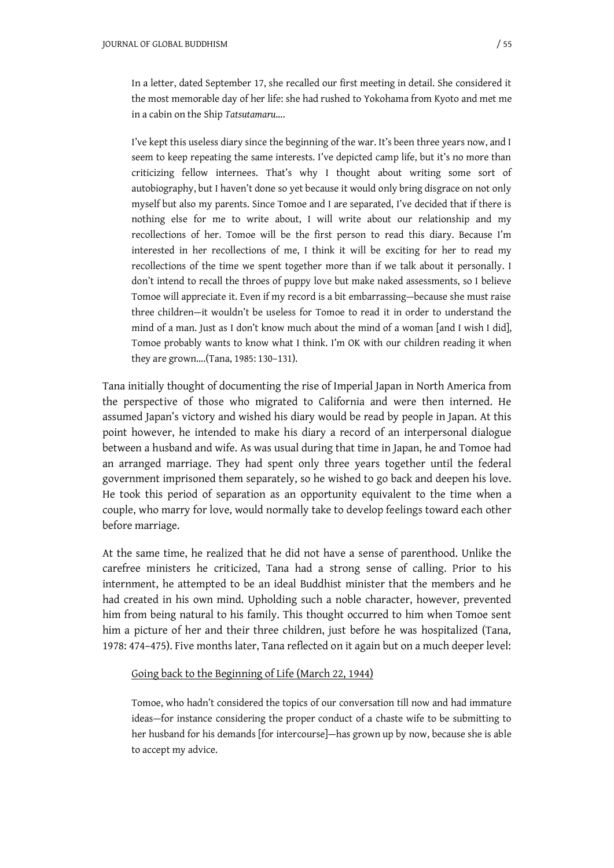In a letter, dated September 17, she recalled our first meeting in detail. She considered it the most memorable day of her life: she had rushed to Yokohama from Kyoto and met me in a cabin on the Ship *Tatsutamaru*….

I've kept this useless diary since the beginning of the war. It's been three years now, and I seem to keep repeating the same interests. I've depicted camp life, but it's no more than criticizing fellow internees. That's why I thought about writing some sort of autobiography, but I haven't done so yet because it would only bring disgrace on not only myself but also my parents. Since Tomoe and I are separated, I've decided that if there is nothing else for me to write about, I will write about our relationship and my recollections of her. Tomoe will be the first person to read this diary. Because I'm interested in her recollections of me, I think it will be exciting for her to read my recollections of the time we spent together more than if we talk about it personally. I don't intend to recall the throes of puppy love but make naked assessments, so I believe Tomoe will appreciate it. Even if my record is a bit embarrassing—because she must raise three children—it wouldn't be useless for Tomoe to read it in order to understand the mind of a man. Just as I don't know much about the mind of a woman [and I wish I did], Tomoe probably wants to know what I think. I'm OK with our children reading it when they are grown….(Tana, 1985: 130–131).

Tana initially thought of documenting the rise of Imperial Japan in North America from the perspective of those who migrated to California and were then interned. He assumed Japan's victory and wished his diary would be read by people in Japan. At this point however, he intended to make his diary a record of an interpersonal dialogue between a husband and wife. As was usual during that time in Japan, he and Tomoe had an arranged marriage. They had spent only three years together until the federal government imprisoned them separately, so he wished to go back and deepen his love. He took this period of separation as an opportunity equivalent to the time when a couple, who marry for love, would normally take to develop feelings toward each other before marriage.

At the same time, he realized that he did not have a sense of parenthood. Unlike the carefree ministers he criticized, Tana had a strong sense of calling. Prior to his internment, he attempted to be an ideal Buddhist minister that the members and he had created in his own mind. Upholding such a noble character, however, prevented him from being natural to his family. This thought occurred to him when Tomoe sent him a picture of her and their three children, just before he was hospitalized (Tana, 1978: 474–475). Five months later, Tana reflected on it again but on a much deeper level:

### Going back to the Beginning of Life (March 22, 1944)

Tomoe, who hadn't considered the topics of our conversation till now and had immature ideas—for instance considering the proper conduct of a chaste wife to be submitting to her husband for his demands [for intercourse]—has grown up by now, because she is able to accept my advice.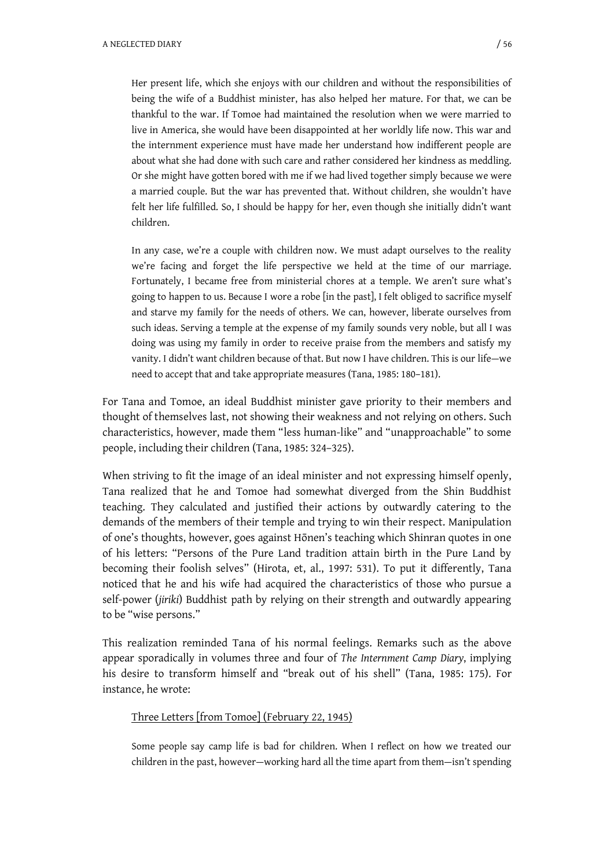Her present life, which she enjoys with our children and without the responsibilities of being the wife of a Buddhist minister, has also helped her mature. For that, we can be thankful to the war. If Tomoe had maintained the resolution when we were married to live in America, she would have been disappointed at her worldly life now. This war and the internment experience must have made her understand how indifferent people are about what she had done with such care and rather considered her kindness as meddling. Or she might have gotten bored with me if we had lived together simply because we were a married couple. But the war has prevented that. Without children, she wouldn't have felt her life fulfilled. So, I should be happy for her, even though she initially didn't want children.

In any case, we're a couple with children now. We must adapt ourselves to the reality we're facing and forget the life perspective we held at the time of our marriage. Fortunately, I became free from ministerial chores at a temple. We aren't sure what's going to happen to us. Because I wore a robe [in the past], I felt obliged to sacrifice myself and starve my family for the needs of others. We can, however, liberate ourselves from such ideas. Serving a temple at the expense of my family sounds very noble, but all I was doing was using my family in order to receive praise from the members and satisfy my vanity. I didn't want children because of that. But now I have children. This is our life—we need to accept that and take appropriate measures (Tana, 1985: 180–181).

For Tana and Tomoe, an ideal Buddhist minister gave priority to their members and thought of themselves last, not showing their weakness and not relying on others. Such characteristics, however, made them "less human-like" and "unapproachable" to some people, including their children (Tana, 1985: 324–325).

When striving to fit the image of an ideal minister and not expressing himself openly, Tana realized that he and Tomoe had somewhat diverged from the Shin Buddhist teaching. They calculated and justified their actions by outwardly catering to the demands of the members of their temple and trying to win their respect. Manipulation of one's thoughts, however, goes against Hōnen's teaching which Shinran quotes in one of his letters: "Persons of the Pure Land tradition attain birth in the Pure Land by becoming their foolish selves" (Hirota, et, al., 1997: 531). To put it differently, Tana noticed that he and his wife had acquired the characteristics of those who pursue a self-power (*jiriki*) Buddhist path by relying on their strength and outwardly appearing to be "wise persons."

This realization reminded Tana of his normal feelings. Remarks such as the above appear sporadically in volumes three and four of *The Internment Camp Diary*, implying his desire to transform himself and "break out of his shell" (Tana, 1985: 175). For instance, he wrote:

## Three Letters [from Tomoe] (February 22, 1945)

Some people say camp life is bad for children. When I reflect on how we treated our children in the past, however—working hard all the time apart from them—isn't spending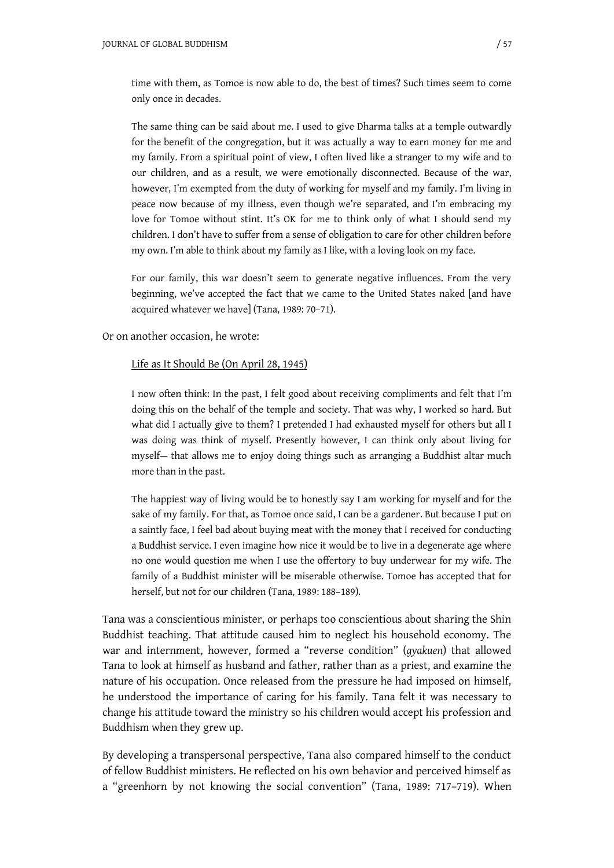time with them, as Tomoe is now able to do, the best of times? Such times seem to come only once in decades.

The same thing can be said about me. I used to give Dharma talks at a temple outwardly for the benefit of the congregation, but it was actually a way to earn money for me and my family. From a spiritual point of view, I often lived like a stranger to my wife and to our children, and as a result, we were emotionally disconnected. Because of the war, however, I'm exempted from the duty of working for myself and my family. I'm living in peace now because of my illness, even though we're separated, and I'm embracing my love for Tomoe without stint. It's OK for me to think only of what I should send my children. I don't have to suffer from a sense of obligation to care for other children before my own. I'm able to think about my family as I like, with a loving look on my face.

For our family, this war doesn't seem to generate negative influences. From the very beginning, we've accepted the fact that we came to the United States naked [and have acquired whatever we have] (Tana, 1989: 70–71).

Or on another occasion, he wrote:

#### Life as It Should Be (On April 28, 1945)

I now often think: In the past, I felt good about receiving compliments and felt that I'm doing this on the behalf of the temple and society. That was why, I worked so hard. But what did I actually give to them? I pretended I had exhausted myself for others but all I was doing was think of myself. Presently however, I can think only about living for myself— that allows me to enjoy doing things such as arranging a Buddhist altar much more than in the past.

The happiest way of living would be to honestly say I am working for myself and for the sake of my family. For that, as Tomoe once said, I can be a gardener. But because I put on a saintly face, I feel bad about buying meat with the money that I received for conducting a Buddhist service. I even imagine how nice it would be to live in a degenerate age where no one would question me when I use the offertory to buy underwear for my wife. The family of a Buddhist minister will be miserable otherwise. Tomoe has accepted that for herself, but not for our children (Tana, 1989: 188–189).

Tana was a conscientious minister, or perhaps too conscientious about sharing the Shin Buddhist teaching. That attitude caused him to neglect his household economy. The war and internment, however, formed a "reverse condition" (*gyakuen*) that allowed Tana to look at himself as husband and father, rather than as a priest, and examine the nature of his occupation. Once released from the pressure he had imposed on himself, he understood the importance of caring for his family. Tana felt it was necessary to change his attitude toward the ministry so his children would accept his profession and Buddhism when they grew up.

By developing a transpersonal perspective, Tana also compared himself to the conduct of fellow Buddhist ministers. He reflected on his own behavior and perceived himself as a "greenhorn by not knowing the social convention" (Tana, 1989: 717–719). When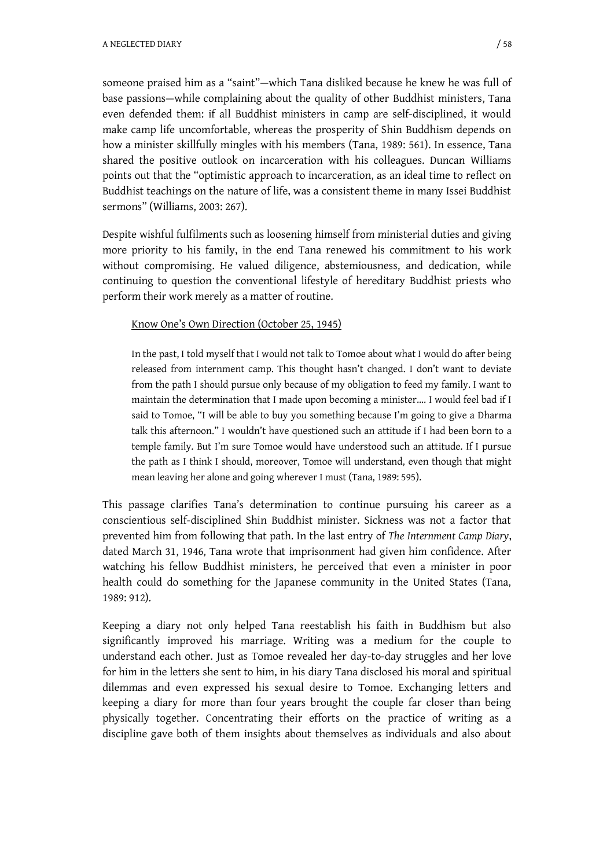someone praised him as a "saint"—which Tana disliked because he knew he was full of base passions—while complaining about the quality of other Buddhist ministers, Tana even defended them: if all Buddhist ministers in camp are self-disciplined, it would make camp life uncomfortable, whereas the prosperity of Shin Buddhism depends on how a minister skillfully mingles with his members (Tana, 1989: 561). In essence, Tana shared the positive outlook on incarceration with his colleagues. Duncan Williams points out that the "optimistic approach to incarceration, as an ideal time to reflect on Buddhist teachings on the nature of life, was a consistent theme in many Issei Buddhist sermons" (Williams, 2003: 267).

Despite wishful fulfilments such as loosening himself from ministerial duties and giving more priority to his family, in the end Tana renewed his commitment to his work without compromising. He valued diligence, abstemiousness, and dedication, while continuing to question the conventional lifestyle of hereditary Buddhist priests who perform their work merely as a matter of routine.

## Know One's Own Direction (October 25, 1945)

In the past, I told myself that I would not talk to Tomoe about what I would do after being released from internment camp. This thought hasn't changed. I don't want to deviate from the path I should pursue only because of my obligation to feed my family. I want to maintain the determination that I made upon becoming a minister…. I would feel bad if I said to Tomoe, "I will be able to buy you something because I'm going to give a Dharma talk this afternoon." I wouldn't have questioned such an attitude if I had been born to a temple family. But I'm sure Tomoe would have understood such an attitude. If I pursue the path as I think I should, moreover, Tomoe will understand, even though that might mean leaving her alone and going wherever I must (Tana, 1989: 595).

This passage clarifies Tana's determination to continue pursuing his career as a conscientious self-disciplined Shin Buddhist minister. Sickness was not a factor that prevented him from following that path. In the last entry of *The Internment Camp Diary*, dated March 31, 1946, Tana wrote that imprisonment had given him confidence. After watching his fellow Buddhist ministers, he perceived that even a minister in poor health could do something for the Japanese community in the United States (Tana, 1989: 912).

Keeping a diary not only helped Tana reestablish his faith in Buddhism but also significantly improved his marriage. Writing was a medium for the couple to understand each other. Just as Tomoe revealed her day-to-day struggles and her love for him in the letters she sent to him, in his diary Tana disclosed his moral and spiritual dilemmas and even expressed his sexual desire to Tomoe. Exchanging letters and keeping a diary for more than four years brought the couple far closer than being physically together. Concentrating their efforts on the practice of writing as a discipline gave both of them insights about themselves as individuals and also about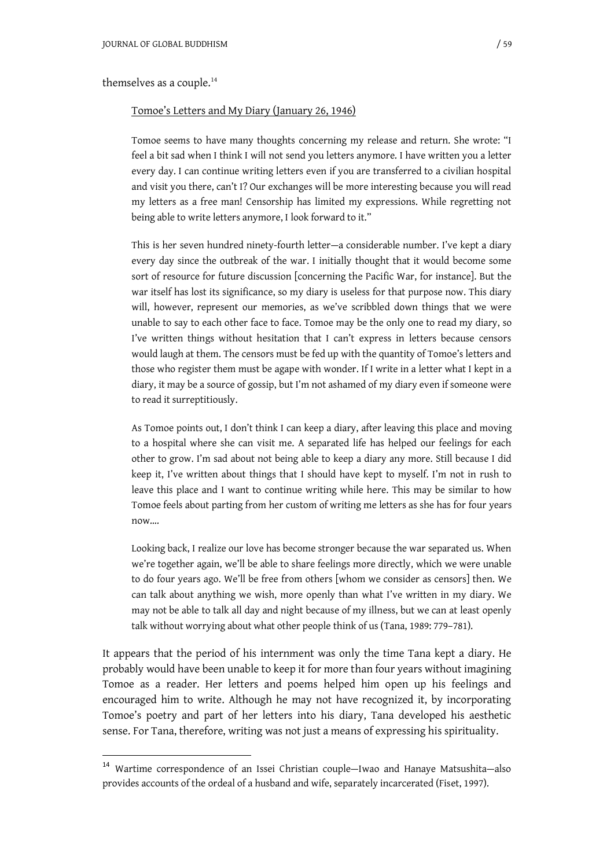themselves as a couple.<sup>14</sup>

1

#### Tomoe's Letters and My Diary (January 26, 1946)

Tomoe seems to have many thoughts concerning my release and return. She wrote: "I feel a bit sad when I think I will not send you letters anymore. I have written you a letter every day. I can continue writing letters even if you are transferred to a civilian hospital and visit you there, can't I? Our exchanges will be more interesting because you will read my letters as a free man! Censorship has limited my expressions. While regretting not being able to write letters anymore, I look forward to it."

This is her seven hundred ninety-fourth letter—a considerable number. I've kept a diary every day since the outbreak of the war. I initially thought that it would become some sort of resource for future discussion [concerning the Pacific War, for instance]. But the war itself has lost its significance, so my diary is useless for that purpose now. This diary will, however, represent our memories, as we've scribbled down things that we were unable to say to each other face to face. Tomoe may be the only one to read my diary, so I've written things without hesitation that I can't express in letters because censors would laugh at them. The censors must be fed up with the quantity of Tomoe's letters and those who register them must be agape with wonder. If I write in a letter what I kept in a diary, it may be a source of gossip, but I'm not ashamed of my diary even if someone were to read it surreptitiously.

As Tomoe points out, I don't think I can keep a diary, after leaving this place and moving to a hospital where she can visit me. A separated life has helped our feelings for each other to grow. I'm sad about not being able to keep a diary any more. Still because I did keep it, I've written about things that I should have kept to myself. I'm not in rush to leave this place and I want to continue writing while here. This may be similar to how Tomoe feels about parting from her custom of writing me letters as she has for four years now….

Looking back, I realize our love has become stronger because the war separated us. When we're together again, we'll be able to share feelings more directly, which we were unable to do four years ago. We'll be free from others [whom we consider as censors] then. We can talk about anything we wish, more openly than what I've written in my diary. We may not be able to talk all day and night because of my illness, but we can at least openly talk without worrying about what other people think of us (Tana, 1989: 779–781).

It appears that the period of his internment was only the time Tana kept a diary. He probably would have been unable to keep it for more than four years without imagining Tomoe as a reader. Her letters and poems helped him open up his feelings and encouraged him to write. Although he may not have recognized it, by incorporating Tomoe's poetry and part of her letters into his diary, Tana developed his aesthetic sense. For Tana, therefore, writing was not just a means of expressing his spirituality.

<sup>14</sup> Wartime correspondence of an Issei Christian couple—Iwao and Hanaye Matsushita—also provides accounts of the ordeal of a husband and wife, separately incarcerated (Fiset, 1997).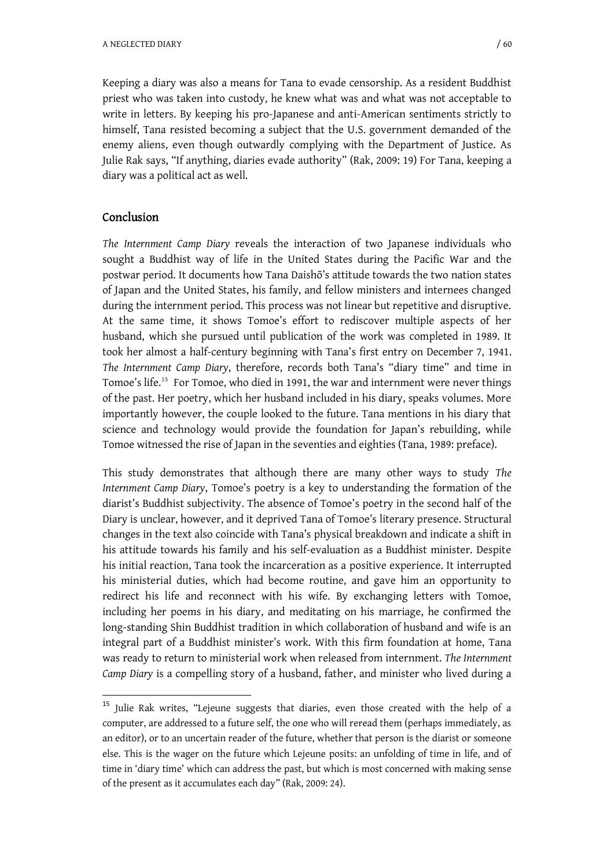Keeping a diary was also a means for Tana to evade censorship. As a resident Buddhist priest who was taken into custody, he knew what was and what was not acceptable to write in letters. By keeping his pro-Japanese and anti-American sentiments strictly to himself, Tana resisted becoming a subject that the U.S. government demanded of the enemy aliens, even though outwardly complying with the Department of Justice. As Julie Rak says, "If anything, diaries evade authority" (Rak, 2009: 19) For Tana, keeping a diary was a political act as well.

## Conclusion

-

*The Internment Camp Diary* reveals the interaction of two Japanese individuals who sought a Buddhist way of life in the United States during the Pacific War and the postwar period. It documents how Tana Daishگ's attitude towards the two nation states of Japan and the United States, his family, and fellow ministers and internees changed during the internment period. This process was not linear but repetitive and disruptive. At the same time, it shows Tomoe's effort to rediscover multiple aspects of her husband, which she pursued until publication of the work was completed in 1989. It took her almost a half-century beginning with Tana's first entry on December 7, 1941. *The Internment Camp Diary*, therefore, records both Tana's "diary time" and time in Tomoe's life.<sup>15</sup> For Tomoe, who died in 1991, the war and internment were never things of the past. Her poetry, which her husband included in his diary, speaks volumes. More importantly however, the couple looked to the future. Tana mentions in his diary that science and technology would provide the foundation for Japan's rebuilding, while Tomoe witnessed the rise of Japan in the seventies and eighties (Tana, 1989: preface).

This study demonstrates that although there are many other ways to study *The Internment Camp Diary*, Tomoe's poetry is a key to understanding the formation of the diarist's Buddhist subjectivity. The absence of Tomoe's poetry in the second half of the Diary is unclear, however, and it deprived Tana of Tomoe's literary presence. Structural changes in the text also coincide with Tana's physical breakdown and indicate a shift in his attitude towards his family and his self-evaluation as a Buddhist minister. Despite his initial reaction, Tana took the incarceration as a positive experience. It interrupted his ministerial duties, which had become routine, and gave him an opportunity to redirect his life and reconnect with his wife. By exchanging letters with Tomoe, including her poems in his diary, and meditating on his marriage, he confirmed the long-standing Shin Buddhist tradition in which collaboration of husband and wife is an integral part of a Buddhist minister's work. With this firm foundation at home, Tana was ready to return to ministerial work when released from internment. *The Internment Camp Diary* is a compelling story of a husband, father, and minister who lived during a

<sup>&</sup>lt;sup>15</sup> Julie Rak writes, "Lejeune suggests that diaries, even those created with the help of a computer, are addressed to a future self, the one who will reread them (perhaps immediately, as an editor), or to an uncertain reader of the future, whether that person is the diarist or someone else. This is the wager on the future which Lejeune posits: an unfolding of time in life, and of time in 'diary time' which can address the past, but which is most concerned with making sense of the present as it accumulates each day" (Rak, 2009: 24).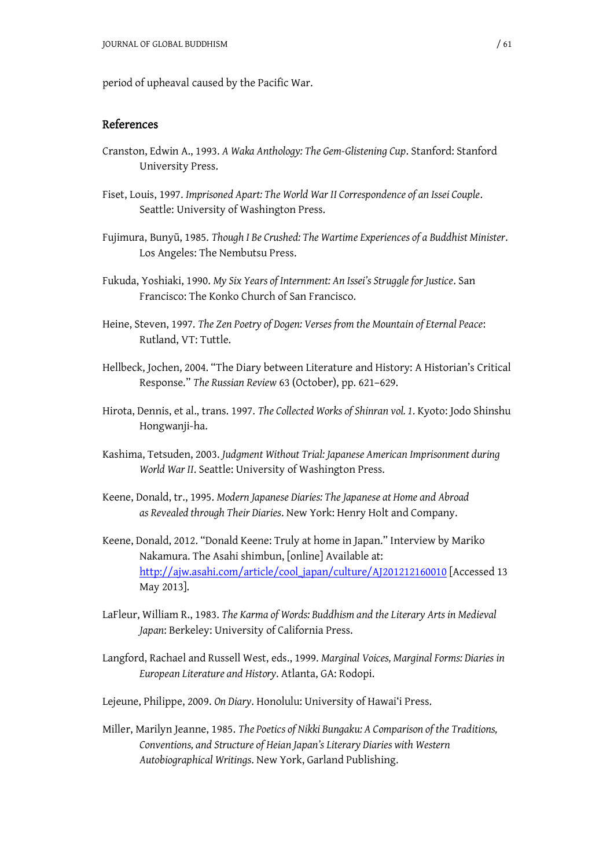period of upheaval caused by the Pacific War.

## References

- Cranston, Edwin A., 1993. *A Waka Anthology: The Gem-Glistening Cup*. Stanford: Stanford University Press.
- Fiset, Louis, 1997. *Imprisoned Apart: The World War II Correspondence of an Issei Couple*. Seattle: University of Washington Press.
- Fujimura, Bunyࡃ, 1985. *Though I Be Crushed: The Wartime Experiences of a Buddhist Minister*. Los Angeles: The Nembutsu Press.
- Fukuda, Yoshiaki, 1990. *My Six Years of Internment: An Issei's Struggle for Justice*. San Francisco: The Konko Church of San Francisco.
- Heine, Steven, 1997. *The Zen Poetry of Dogen: Verses from the Mountain of Eternal Peace*: Rutland, VT: Tuttle.
- Hellbeck, Jochen, 2004. "The Diary between Literature and History: A Historian's Critical Response." *The Russian Review* 63 (October), pp. 621–629.
- Hirota, Dennis, et al., trans. 1997. *The Collected Works of Shinran vol. 1*. Kyoto: Jodo Shinshu Hongwanji-ha.
- Kashima, Tetsuden, 2003. *Judgment Without Trial: Japanese American Imprisonment during World War II*. Seattle: University of Washington Press.
- Keene, Donald, tr., 1995. *Modern Japanese Diaries: The Japanese at Home and Abroad as Revealed through Their Diaries*. New York: Henry Holt and Company.
- Keene, Donald, 2012. "Donald Keene: Truly at home in Japan." Interview by Mariko Nakamura. The Asahi shimbun, [online] Available at: [http://ajw.asahi.com/article/cool\\_japan/culture/AJ201212160010](http://ajw.asahi.com/article/cool_japan/culture/AJ201212160010) [Accessed 13 May 2013].
- LaFleur, William R., 1983. *The Karma of Words: Buddhism and the Literary Arts in Medieval Japan*: Berkeley: University of California Press.
- Langford, Rachael and Russell West, eds., 1999. *Marginal Voices, Marginal Forms: Diaries in European Literature and History*. Atlanta, GA: Rodopi.
- Lejeune, Philippe, 2009. *On Diary*. Honolulu: University of Hawai'i Press.
- Miller, Marilyn Jeanne, 1985. *The Poetics of Nikki Bungaku: A Comparison of the Traditions, Conventions, and Structure of Heian Japan's Literary Diaries with Western Autobiographical Writings*. New York, Garland Publishing.